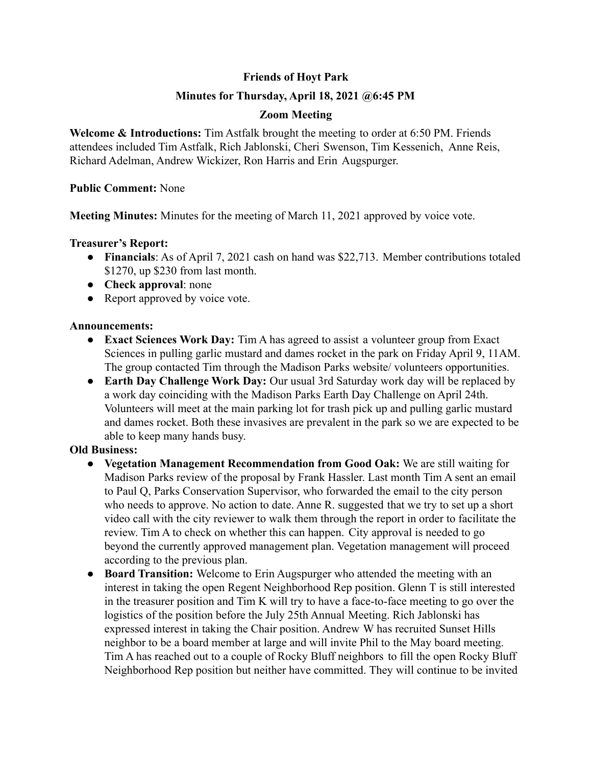# **Friends of Hoyt Park**

## **Minutes for Thursday, April 18, 2021 @6:45 PM**

### **Zoom Meeting**

**Welcome & Introductions:** Tim Astfalk brought the meeting to order at 6:50 PM. Friends attendees included Tim Astfalk, Rich Jablonski, Cheri Swenson, Tim Kessenich, Anne Reis, Richard Adelman, Andrew Wickizer, Ron Harris and Erin Augspurger.

#### **Public Comment:** None

**Meeting Minutes:** Minutes for the meeting of March 11, 2021 approved by voice vote.

### **Treasurer's Report:**

- **Financials**: As of April 7, 2021 cash on hand was \$22,713. Member contributions totaled \$1270, up \$230 from last month.
- **Check approval**: none
- Report approved by voice vote.

### **Announcements:**

- **● Exact Sciences Work Day:** Tim A has agreed to assist a volunteer group from Exact Sciences in pulling garlic mustard and dames rocket in the park on Friday April 9, 11AM. The group contacted Tim through the Madison Parks website/ volunteers opportunities.
- **● Earth Day Challenge Work Day:** Our usual 3rd Saturday work day will be replaced by a work day coinciding with the Madison Parks Earth Day Challenge on April 24th. Volunteers will meet at the main parking lot for trash pick up and pulling garlic mustard and dames rocket. Both these invasives are prevalent in the park so we are expected to be able to keep many hands busy.

## **Old Business:**

- **● Vegetation Management Recommendation from Good Oak:** We are still waiting for Madison Parks review of the proposal by Frank Hassler. Last month Tim A sent an email to Paul Q, Parks Conservation Supervisor, who forwarded the email to the city person who needs to approve. No action to date. Anne R. suggested that we try to set up a short video call with the city reviewer to walk them through the report in order to facilitate the review. Tim A to check on whether this can happen. City approval is needed to go beyond the currently approved management plan. Vegetation management will proceed according to the previous plan.
- **● Board Transition:** Welcome to Erin Augspurger who attended the meeting with an interest in taking the open Regent Neighborhood Rep position. Glenn T is still interested in the treasurer position and Tim K will try to have a face-to-face meeting to go over the logistics of the position before the July 25th Annual Meeting. Rich Jablonski has expressed interest in taking the Chair position. Andrew W has recruited Sunset Hills neighbor to be a board member at large and will invite Phil to the May board meeting. Tim A has reached out to a couple of Rocky Bluff neighbors to fill the open Rocky Bluff Neighborhood Rep position but neither have committed. They will continue to be invited